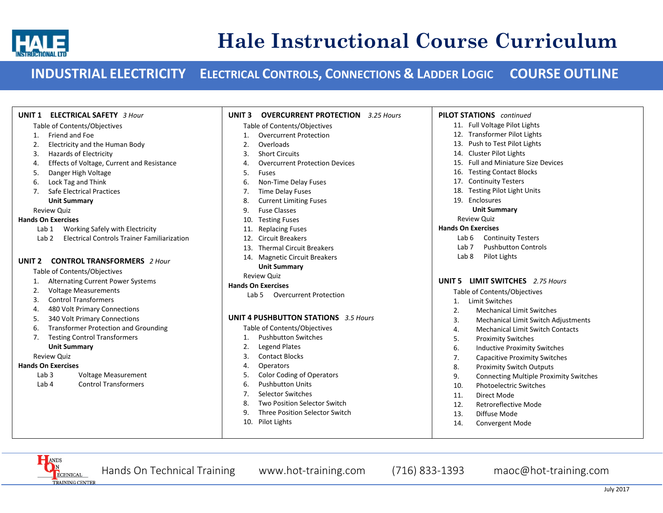

# **Hale Instructional Course Curriculum**

#### **INDUSTRIAL ELECTRICITY ELECTRICAL CONTROLS, CONNECTIONS & LADDER LOGIC COURSE OUTLINE**

| <b>ELECTRICAL SAFETY</b> 3 Hour<br><b>UNIT 1</b>                       | <b>UNIT 3</b><br><b>OVERCURRENT PROTECTION</b> 3.25 Hours | <b>PILOT STATIONS</b> continued                     |
|------------------------------------------------------------------------|-----------------------------------------------------------|-----------------------------------------------------|
| Table of Contents/Objectives                                           | Table of Contents/Objectives                              | 11. Full Voltage Pilot Lights                       |
| Friend and Foe<br>1.                                                   | <b>Overcurrent Protection</b>                             | 12. Transformer Pilot Lights                        |
| Electricity and the Human Body<br>2.                                   | Overloads<br>2.                                           | 13. Push to Test Pilot Lights                       |
| <b>Hazards of Electricity</b><br>3.                                    | 3<br><b>Short Circuits</b>                                | 14. Cluster Pilot Lights                            |
| Effects of Voltage, Current and Resistance<br>4.                       | <b>Overcurrent Protection Devices</b><br>4.               | Full and Miniature Size Devices<br>15.              |
| Danger High Voltage<br>5.                                              | 5.<br><b>Fuses</b>                                        | <b>Testing Contact Blocks</b><br>16.                |
| Lock Tag and Think<br>6.                                               | 6.<br>Non-Time Delay Fuses                                | <b>Continuity Testers</b><br>17.                    |
| Safe Electrical Practices<br>7.                                        | <b>Time Delay Fuses</b><br>7.                             | <b>Testing Pilot Light Units</b><br>18.             |
| <b>Unit Summary</b>                                                    | <b>Current Limiting Fuses</b><br>8.                       | 19. Enclosures                                      |
| <b>Review Quiz</b>                                                     | <b>Fuse Classes</b><br>9.                                 | <b>Unit Summary</b>                                 |
| <b>Hands On Exercises</b>                                              | <b>Testing Fuses</b><br>10.                               | <b>Review Quiz</b>                                  |
| Working Safely with Electricity<br>Lab 1                               | <b>Replacing Fuses</b><br>11.                             | <b>Hands On Exercises</b>                           |
| Lab <sub>2</sub><br><b>Electrical Controls Trainer Familiarization</b> | <b>Circuit Breakers</b><br>12.                            | Lab <sub>6</sub><br><b>Continuity Testers</b>       |
|                                                                        | <b>Thermal Circuit Breakers</b><br>13.                    | <b>Pushbutton Controls</b><br>Lab <sub>7</sub>      |
| <b>CONTROL TRANSFORMERS</b> 2 Hour<br>UNIT 2                           | 14. Magnetic Circuit Breakers                             | Lab 8<br>Pilot Lights                               |
|                                                                        | <b>Unit Summary</b>                                       |                                                     |
| Table of Contents/Objectives                                           | <b>Review Quiz</b>                                        |                                                     |
| <b>Alternating Current Power Systems</b>                               | <b>Hands On Exercises</b>                                 | <b>UNIT 5 LIMIT SWITCHES</b> 2.75 Hours             |
| <b>Voltage Measurements</b><br>2.<br><b>Control Transformers</b>       | <b>Overcurrent Protection</b><br>Lab <sub>5</sub>         | Table of Contents/Objectives                        |
| 3.                                                                     |                                                           | <b>Limit Switches</b><br>1.                         |
| 480 Volt Primary Connections<br>4.                                     | <b>UNIT 4 PUSHBUTTON STATIONS</b> 3.5 Hours               | 2.<br><b>Mechanical Limit Switches</b>              |
| 340 Volt Primary Connections<br>5.                                     |                                                           | 3.<br>Mechanical Limit Switch Adjustments           |
| <b>Transformer Protection and Grounding</b><br>6.                      | Table of Contents/Objectives                              | 4.<br><b>Mechanical Limit Switch Contacts</b>       |
| <b>Testing Control Transformers</b><br>7.                              | <b>Pushbutton Switches</b><br>1.                          | 5.<br><b>Proximity Switches</b>                     |
| <b>Unit Summary</b>                                                    | 2.<br><b>Legend Plates</b>                                | 6.<br><b>Inductive Proximity Switches</b>           |
| <b>Review Quiz</b>                                                     | 3.<br><b>Contact Blocks</b>                               | 7.<br><b>Capacitive Proximity Switches</b>          |
| <b>Hands On Exercises</b>                                              | Operators<br>4.                                           | 8.<br><b>Proximity Switch Outputs</b>               |
| Lab <sub>3</sub><br><b>Voltage Measurement</b>                         | <b>Color Coding of Operators</b><br>5.                    | <b>Connecting Multiple Proximity Switches</b><br>9. |
| <b>Control Transformers</b><br>Lab <sub>4</sub>                        | <b>Pushbutton Units</b><br>6.                             | 10.<br><b>Photoelectric Switches</b>                |
|                                                                        | Selector Switches<br>7.                                   | 11.<br>Direct Mode                                  |
|                                                                        | 8.<br>Two Position Selector Switch                        | 12.<br>Retroreflective Mode                         |
|                                                                        | Three Position Selector Switch<br>9.                      | 13.<br>Diffuse Mode                                 |
|                                                                        | 10.<br>Pilot Lights                                       | 14.<br><b>Convergent Mode</b>                       |
|                                                                        |                                                           |                                                     |

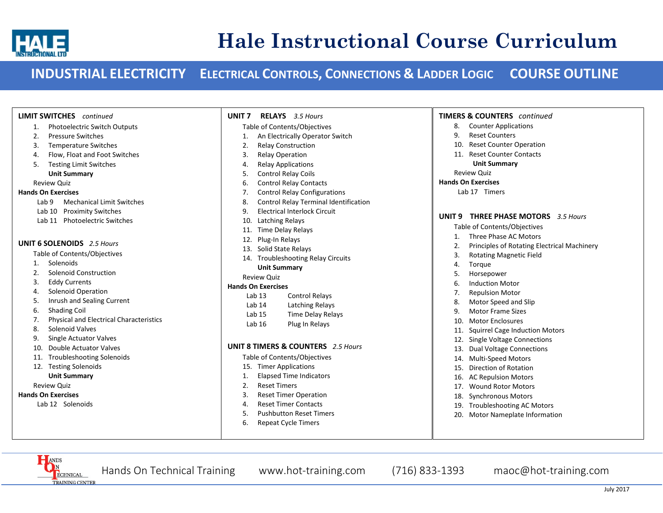

# **Hale Instructional Course Curriculum**

#### **INDUSTRIAL ELECTRICITY ELECTRICAL CONTROLS, CONNECTIONS & LADDER LOGIC COURSE OUTLINE**

| <b>LIMIT SWITCHES</b> continued                      | UNIT <sub>7</sub><br><b>RELAYS</b> 3.5 Hours  | <b>TIMERS &amp; COUNTERS</b> continued            |
|------------------------------------------------------|-----------------------------------------------|---------------------------------------------------|
| Photoelectric Switch Outputs<br>1.                   | Table of Contents/Objectives                  | 8.<br><b>Counter Applications</b>                 |
| <b>Pressure Switches</b><br>2.                       | An Electrically Operator Switch<br>1.         | 9.<br><b>Reset Counters</b>                       |
| <b>Temperature Switches</b><br>3.                    | <b>Relay Construction</b><br>2.               | <b>Reset Counter Operation</b><br>10.             |
| Flow, Float and Foot Switches<br>4.                  | <b>Relay Operation</b><br>3.                  | 11. Reset Counter Contacts                        |
| <b>Testing Limit Switches</b><br>5.                  | <b>Relay Applications</b><br>4.               | <b>Unit Summary</b>                               |
| <b>Unit Summary</b>                                  | Control Relay Coils<br>5.                     | <b>Review Quiz</b>                                |
| <b>Review Quiz</b>                                   | <b>Control Relay Contacts</b><br>6.           | <b>Hands On Exercises</b>                         |
| <b>Hands On Exercises</b>                            | <b>Control Relay Configurations</b><br>7.     | Lab 17 Timers                                     |
| <b>Mechanical Limit Switches</b><br>Lab 9            | Control Relay Terminal Identification<br>8.   |                                                   |
| Lab 10 Proximity Switches                            | <b>Electrical Interlock Circuit</b><br>9.     |                                                   |
| Lab 11 Photoelectric Switches                        | <b>Latching Relays</b><br>10.                 | <b>THREE PHASE MOTORS</b> 3.5 Hours<br>UNIT 9     |
|                                                      | Time Delay Relays<br>11.                      | Table of Contents/Objectives                      |
|                                                      | Plug-In Relays<br>12.                         | Three Phase AC Motors<br>1.                       |
| <b>UNIT 6 SOLENOIDS</b> 2.5 Hours                    | Solid State Relays<br>13.                     | Principles of Rotating Electrical Machinery<br>2. |
| Table of Contents/Objectives                         | 14. Troubleshooting Relay Circuits            | 3.<br><b>Rotating Magnetic Field</b>              |
| Solenoids<br>1.                                      | <b>Unit Summary</b>                           | Torque<br>4.                                      |
| Solenoid Construction<br>2.                          | <b>Review Quiz</b>                            | Horsepower<br>5.                                  |
| <b>Eddy Currents</b><br>3.                           | <b>Hands On Exercises</b>                     | <b>Induction Motor</b><br>6.                      |
| <b>Solenoid Operation</b><br>4.                      | Lab <sub>13</sub><br><b>Control Relays</b>    | <b>Repulsion Motor</b><br>7.                      |
| Inrush and Sealing Current<br>5.                     | Lab 14<br><b>Latching Relays</b>              | Motor Speed and Slip<br>8.                        |
| <b>Shading Coil</b><br>6.                            | Time Delay Relays<br>Lab 15                   | <b>Motor Frame Sizes</b><br>9.                    |
| <b>Physical and Electrical Characteristics</b><br>7. | Plug In Relays<br>Lab <sub>16</sub>           | <b>Motor Enclosures</b><br>10.                    |
| <b>Solenoid Valves</b><br>8.                         |                                               | <b>Squirrel Cage Induction Motors</b><br>11.      |
| Single Actuator Valves<br>9.                         |                                               | <b>Single Voltage Connections</b><br>12.          |
| <b>Double Actuator Valves</b><br>10.                 | <b>UNIT 8 TIMERS &amp; COUNTERS</b> 2.5 Hours | <b>Dual Voltage Connections</b><br>13.            |
| <b>Troubleshooting Solenoids</b><br>11.              | Table of Contents/Objectives                  | <b>Multi-Speed Motors</b><br>14.                  |
| 12. Testing Solenoids                                | 15. Timer Applications                        | <b>Direction of Rotation</b><br>15.               |
| <b>Unit Summary</b>                                  | <b>Elapsed Time Indicators</b><br>1.          | <b>AC Repulsion Motors</b><br>16.                 |
| <b>Review Quiz</b>                                   | <b>Reset Timers</b><br>2.                     | 17. Wound Rotor Motors                            |
| <b>Hands On Exercises</b>                            | <b>Reset Timer Operation</b><br>3.            | <b>Synchronous Motors</b><br>18.                  |
| Lab 12 Solenoids                                     | <b>Reset Timer Contacts</b><br>4.             | 19. Troubleshooting AC Motors                     |
|                                                      | <b>Pushbutton Reset Timers</b><br>5.          | 20. Motor Nameplate Information                   |
|                                                      | 6.<br><b>Repeat Cycle Timers</b>              |                                                   |
|                                                      |                                               |                                                   |
|                                                      |                                               |                                                   |

HANDS N ECHNICAL TRAINING CENTE